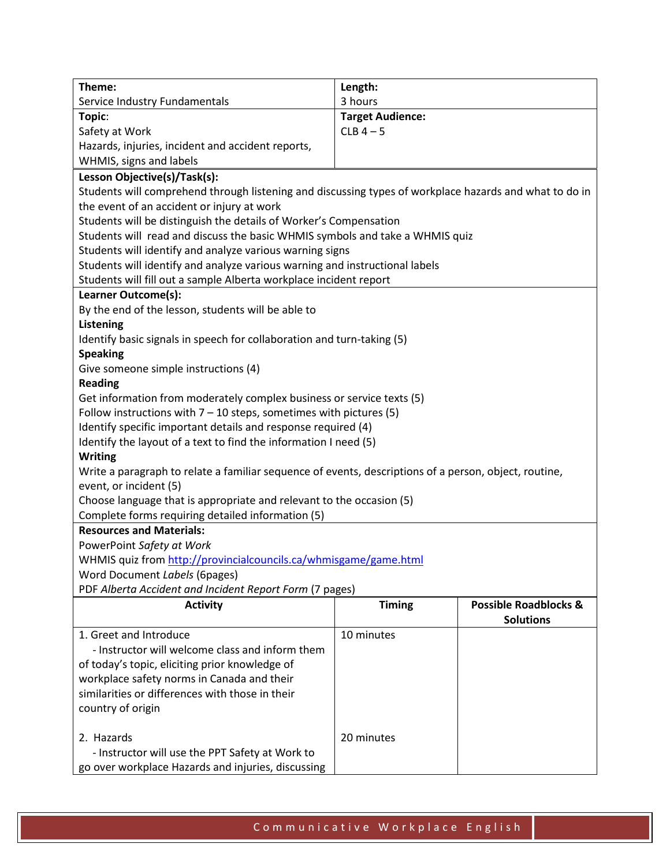| Theme:                                                                                                 | Length:                 |                                  |  |  |
|--------------------------------------------------------------------------------------------------------|-------------------------|----------------------------------|--|--|
| Service Industry Fundamentals                                                                          | 3 hours                 |                                  |  |  |
| Topic:                                                                                                 | <b>Target Audience:</b> |                                  |  |  |
| Safety at Work                                                                                         | $CLB$ 4 - 5             |                                  |  |  |
| Hazards, injuries, incident and accident reports,                                                      |                         |                                  |  |  |
| WHMIS, signs and labels                                                                                |                         |                                  |  |  |
| Lesson Objective(s)/Task(s):                                                                           |                         |                                  |  |  |
| Students will comprehend through listening and discussing types of workplace hazards and what to do in |                         |                                  |  |  |
| the event of an accident or injury at work                                                             |                         |                                  |  |  |
| Students will be distinguish the details of Worker's Compensation                                      |                         |                                  |  |  |
| Students will read and discuss the basic WHMIS symbols and take a WHMIS quiz                           |                         |                                  |  |  |
| Students will identify and analyze various warning signs                                               |                         |                                  |  |  |
| Students will identify and analyze various warning and instructional labels                            |                         |                                  |  |  |
| Students will fill out a sample Alberta workplace incident report                                      |                         |                                  |  |  |
| Learner Outcome(s):                                                                                    |                         |                                  |  |  |
| By the end of the lesson, students will be able to                                                     |                         |                                  |  |  |
| Listening                                                                                              |                         |                                  |  |  |
| Identify basic signals in speech for collaboration and turn-taking (5)                                 |                         |                                  |  |  |
| <b>Speaking</b>                                                                                        |                         |                                  |  |  |
| Give someone simple instructions (4)                                                                   |                         |                                  |  |  |
| <b>Reading</b>                                                                                         |                         |                                  |  |  |
| Get information from moderately complex business or service texts (5)                                  |                         |                                  |  |  |
| Follow instructions with $7 - 10$ steps, sometimes with pictures (5)                                   |                         |                                  |  |  |
| Identify specific important details and response required (4)                                          |                         |                                  |  |  |
| Identify the layout of a text to find the information I need (5)                                       |                         |                                  |  |  |
| <b>Writing</b>                                                                                         |                         |                                  |  |  |
| Write a paragraph to relate a familiar sequence of events, descriptions of a person, object, routine,  |                         |                                  |  |  |
| event, or incident (5)                                                                                 |                         |                                  |  |  |
| Choose language that is appropriate and relevant to the occasion (5)                                   |                         |                                  |  |  |
| Complete forms requiring detailed information (5)                                                      |                         |                                  |  |  |
| <b>Resources and Materials:</b>                                                                        |                         |                                  |  |  |
| PowerPoint Safety at Work                                                                              |                         |                                  |  |  |
| WHMIS quiz from http://provincialcouncils.ca/whmisgame/game.html                                       |                         |                                  |  |  |
| Word Document Labels (6pages)                                                                          |                         |                                  |  |  |
| PDF Alberta Accident and Incident Report Form (7 pages)                                                |                         |                                  |  |  |
| <b>Activity</b>                                                                                        | <b>Timing</b>           | <b>Possible Roadblocks &amp;</b> |  |  |
|                                                                                                        |                         | <b>Solutions</b>                 |  |  |
| 1. Greet and Introduce                                                                                 | 10 minutes              |                                  |  |  |
| - Instructor will welcome class and inform them                                                        |                         |                                  |  |  |
| of today's topic, eliciting prior knowledge of                                                         |                         |                                  |  |  |
| workplace safety norms in Canada and their                                                             |                         |                                  |  |  |
| similarities or differences with those in their                                                        |                         |                                  |  |  |
| country of origin                                                                                      |                         |                                  |  |  |
|                                                                                                        |                         |                                  |  |  |
| 2. Hazards                                                                                             | 20 minutes              |                                  |  |  |
| - Instructor will use the PPT Safety at Work to                                                        |                         |                                  |  |  |
| go over workplace Hazards and injuries, discussing                                                     |                         |                                  |  |  |

 $\perp$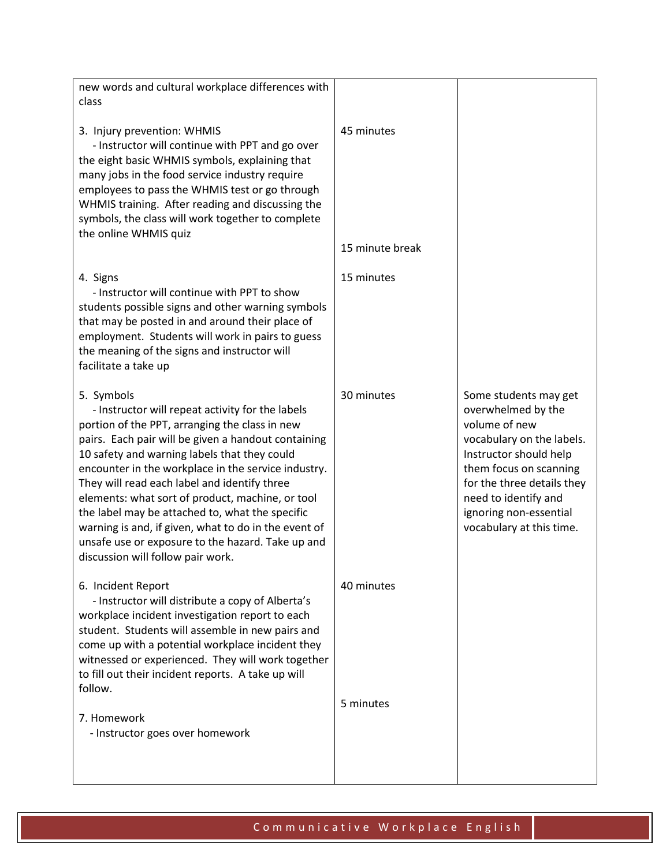| new words and cultural workplace differences with<br>class                                                                                                                                                                                                                                                                                                                                                                                                                                                                                                                              |                               |                                                                                                                                                                                                                                                           |
|-----------------------------------------------------------------------------------------------------------------------------------------------------------------------------------------------------------------------------------------------------------------------------------------------------------------------------------------------------------------------------------------------------------------------------------------------------------------------------------------------------------------------------------------------------------------------------------------|-------------------------------|-----------------------------------------------------------------------------------------------------------------------------------------------------------------------------------------------------------------------------------------------------------|
| 3. Injury prevention: WHMIS<br>- Instructor will continue with PPT and go over<br>the eight basic WHMIS symbols, explaining that<br>many jobs in the food service industry require<br>employees to pass the WHMIS test or go through<br>WHMIS training. After reading and discussing the<br>symbols, the class will work together to complete<br>the online WHMIS quiz                                                                                                                                                                                                                  | 45 minutes<br>15 minute break |                                                                                                                                                                                                                                                           |
| 4. Signs<br>- Instructor will continue with PPT to show<br>students possible signs and other warning symbols<br>that may be posted in and around their place of<br>employment. Students will work in pairs to guess<br>the meaning of the signs and instructor will<br>facilitate a take up                                                                                                                                                                                                                                                                                             | 15 minutes                    |                                                                                                                                                                                                                                                           |
| 5. Symbols<br>- Instructor will repeat activity for the labels<br>portion of the PPT, arranging the class in new<br>pairs. Each pair will be given a handout containing<br>10 safety and warning labels that they could<br>encounter in the workplace in the service industry.<br>They will read each label and identify three<br>elements: what sort of product, machine, or tool<br>the label may be attached to, what the specific<br>warning is and, if given, what to do in the event of<br>unsafe use or exposure to the hazard. Take up and<br>discussion will follow pair work. | 30 minutes                    | Some students may get<br>overwhelmed by the<br>volume of new<br>vocabulary on the labels.<br>Instructor should help<br>them focus on scanning<br>for the three details they<br>need to identify and<br>ignoring non-essential<br>vocabulary at this time. |
| 6. Incident Report<br>- Instructor will distribute a copy of Alberta's<br>workplace incident investigation report to each<br>student. Students will assemble in new pairs and<br>come up with a potential workplace incident they<br>witnessed or experienced. They will work together<br>to fill out their incident reports. A take up will<br>follow.                                                                                                                                                                                                                                 | 40 minutes                    |                                                                                                                                                                                                                                                           |
| 7. Homework<br>- Instructor goes over homework                                                                                                                                                                                                                                                                                                                                                                                                                                                                                                                                          | 5 minutes                     |                                                                                                                                                                                                                                                           |